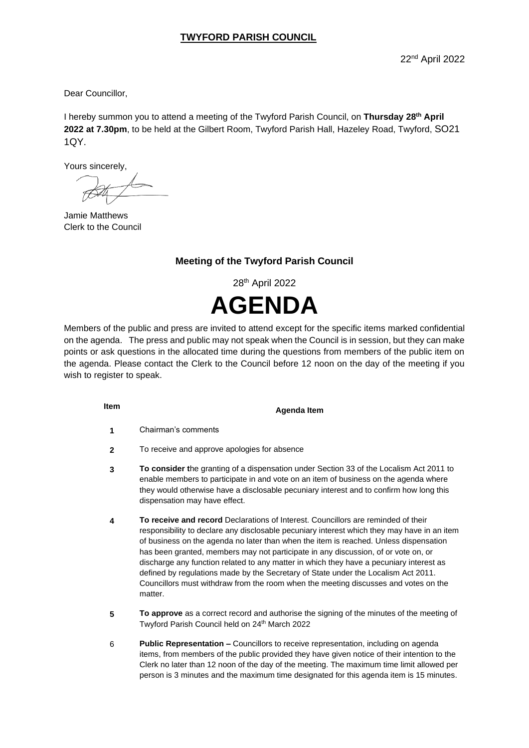Dear Councillor,

I hereby summon you to attend a meeting of the Twyford Parish Council, on **Thursday 28 th April 2022 at 7.30pm**, to be held at the Gilbert Room, Twyford Parish Hall, Hazeley Road, Twyford, SO21 1QY.

Yours sincerely,

Jamie Matthews Clerk to the Council

## **Meeting of the Twyford Parish Council**

28th April 2022 **AGENDA**

Members of the public and press are invited to attend except for the specific items marked confidential on the agenda. The press and public may not speak when the Council is in session, but they can make points or ask questions in the allocated time during the questions from members of the public item on the agenda. Please contact the Clerk to the Council before 12 noon on the day of the meeting if you wish to register to speak.

**Item Agenda Item**

- **1** Chairman's comments
- **2** To receive and approve apologies for absence
- **3 To consider t**he granting of a dispensation under Section 33 of the Localism Act 2011 to enable members to participate in and vote on an item of business on the agenda where they would otherwise have a disclosable pecuniary interest and to confirm how long this dispensation may have effect.
- **4 To receive and record** Declarations of Interest. Councillors are reminded of their responsibility to declare any disclosable pecuniary interest which they may have in an item of business on the agenda no later than when the item is reached. Unless dispensation has been granted, members may not participate in any discussion, of or vote on, or discharge any function related to any matter in which they have a pecuniary interest as defined by regulations made by the Secretary of State under the Localism Act 2011. Councillors must withdraw from the room when the meeting discusses and votes on the matter.
- **5 To approve** as a correct record and authorise the signing of the minutes of the meeting of Twyford Parish Council held on 24<sup>th</sup> March 2022
- 6 **Public Representation –** Councillors to receive representation, including on agenda items, from members of the public provided they have given notice of their intention to the Clerk no later than 12 noon of the day of the meeting. The maximum time limit allowed per person is 3 minutes and the maximum time designated for this agenda item is 15 minutes.